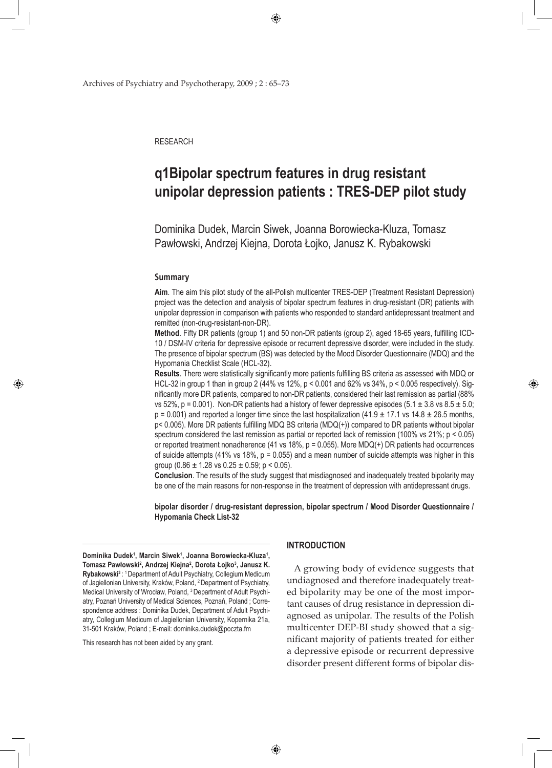$\bigoplus$ 

Archives of Psychiatry and Psychotherapy, 2009 ; 2 : 65–73

**RESEARCH** 

# **q1Bipolar spectrum features in drug resistant unipolar depression patients : TRES-DEP pilot study**

Dominika Dudek, Marcin Siwek, Joanna Borowiecka-Kluza, Tomasz Pawłowski, Andrzej Kiejna, Dorota Łojko, Janusz K. Rybakowski

### **Summary**

♠

**Aim**. The aim this pilot study of the all-Polish multicenter TRES-DEP (Treatment Resistant Depression) project was the detection and analysis of bipolar spectrum features in drug-resistant (DR) patients with unipolar depression in comparison with patients who responded to standard antidepressant treatment and remitted (non-drug-resistant-non-DR).

**Method**. Fifty DR patients (group 1) and 50 non-DR patients (group 2), aged 18-65 years, fulfilling ICD-10 / DSM-IV criteria for depressive episode or recurrent depressive disorder, were included in the study. The presence of bipolar spectrum (BS) was detected by the Mood Disorder Questionnaire (MDQ) and the Hypomania Checklist Scale (HCL-32).

**Results**. There were statistically significantly more patients fulfilling BS criteria as assessed with MDQ or HCL-32 in group 1 than in group 2 (44% vs 12%, p < 0.001 and 62% vs 34%, p < 0.005 respectively). Significantly more DR patients, compared to non-DR patients, considered their last remission as partial (88% vs 52%, p = 0.001). Non-DR patients had a history of fewer depressive episodes (5.1  $\pm$  3.8 vs 8.5  $\pm$  5.0;  $p = 0.001$ ) and reported a longer time since the last hospitalization (41.9  $\pm$  17.1 vs 14.8  $\pm$  26.5 months, p< 0.005). More DR patients fulfilling MDQ BS criteria (MDQ(+)) compared to DR patients without bipolar spectrum considered the last remission as partial or reported lack of remission (100% vs 21%; p < 0.05) or reported treatment nonadherence (41 vs 18%,  $p = 0.055$ ). More MDQ(+) DR patients had occurrences of suicide attempts (41% vs 18%,  $p = 0.055$ ) and a mean number of suicide attempts was higher in this group  $(0.86 \pm 1.28 \text{ vs } 0.25 \pm 0.59; \text{ p} < 0.05)$ .

**Conclusion**. The results of the study suggest that misdiagnosed and inadequately treated bipolarity may be one of the main reasons for non-response in the treatment of depression with antidepressant drugs.

**bipolar disorder / drug-resistant depression, bipolar spectrum / Mood Disorder Questionnaire / Hypomania Check List-32**

Dominika Dudek<sup>1</sup>, Marcin Siwek<sup>1</sup>, Joanna Borowiecka-Kluza<sup>1</sup>, **Tomasz Pawłowski<sup>2</sup> , Andrzej Kiejna2 , Dorota Łojko<sup>3</sup> , Janusz K. Rybakowski3** : 1 Department of Adult Psychiatry, Collegium Medicum of Jagiellonian University, Kraków, Poland, 2 Department of Psychiatry, Medical University of Wrocław, Poland, 3 Department of Adult Psychiatry, Poznań University of Medical Sciences, Poznań, Poland ; Correspondence address : Dominika Dudek, Department of Adult Psychiatry, Collegium Medicum of Jagiellonian University, Kopernika 21a, 31-501 Kraków, Poland ; E-mail: dominika.dudek@poczta.fm

This research has not been aided by any grant.

#### **INTRODUCTION**

A growing body of evidence suggests that undiagnosed and therefore inadequately treated bipolarity may be one of the most important causes of drug resistance in depression diagnosed as unipolar. The results of the Polish multicenter DEP-BI study showed that a significant majority of patients treated for either a depressive episode or recurrent depressive disorder present different forms of bipolar dis◈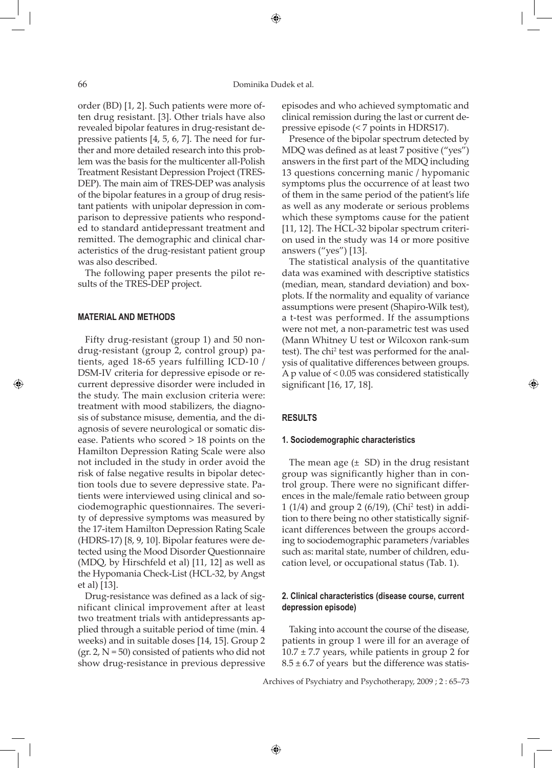⊕

order (BD) [1, 2]. Such patients were more often drug resistant. [3]. Other trials have also revealed bipolar features in drug-resistant depressive patients [4, 5, 6, 7]. The need for further and more detailed research into this problem was the basis for the multicenter all-Polish Treatment Resistant Depression Project (TRES-DEP). The main aim of TRES-DEP was analysis of the bipolar features in a group of drug resistant patients with unipolar depression in comparison to depressive patients who responded to standard antidepressant treatment and remitted. The demographic and clinical characteristics of the drug-resistant patient group was also described.

The following paper presents the pilot results of the TRES-DEP project.

### **MATERIAL AND METHODS**

⊕

Fifty drug-resistant (group 1) and 50 nondrug-resistant (group 2, control group) patients, aged 18-65 years fulfilling ICD-10 / DSM-IV criteria for depressive episode or recurrent depressive disorder were included in the study. The main exclusion criteria were: treatment with mood stabilizers, the diagnosis of substance misuse, dementia, and the diagnosis of severe neurological or somatic disease. Patients who scored > 18 points on the Hamilton Depression Rating Scale were also not included in the study in order avoid the risk of false negative results in bipolar detection tools due to severe depressive state. Patients were interviewed using clinical and sociodemographic questionnaires. The severity of depressive symptoms was measured by the 17-item Hamilton Depression Rating Scale (HDRS-17) [8, 9, 10]. Bipolar features were detected using the Mood Disorder Questionnaire (MDQ, by Hirschfeld et al) [11, 12] as well as the Hypomania Check-List (HCL-32, by Angst et al) [13].

Drug-resistance was defined as a lack of significant clinical improvement after at least two treatment trials with antidepressants applied through a suitable period of time (min. 4 weeks) and in suitable doses [14, 15]. Group 2 (gr. 2,  $N = 50$ ) consisted of patients who did not show drug-resistance in previous depressive

episodes and who achieved symptomatic and clinical remission during the last or current depressive episode (< 7 points in HDRS17).

Presence of the bipolar spectrum detected by MDQ was defined as at least 7 positive ("yes") answers in the first part of the MDQ including 13 questions concerning manic / hypomanic symptoms plus the occurrence of at least two of them in the same period of the patient's life as well as any moderate or serious problems which these symptoms cause for the patient [11, 12]. The HCL-32 bipolar spectrum criterion used in the study was 14 or more positive answers ("yes") [13].

The statistical analysis of the quantitative data was examined with descriptive statistics (median, mean, standard deviation) and boxplots. If the normality and equality of variance assumptions were present (Shapiro-Wilk test), a t-test was performed. If the assumptions were not met, a non-parametric test was used (Mann Whitney U test or Wilcoxon rank-sum test). The chi<sup>2</sup> test was performed for the analysis of qualitative differences between groups. A p value of < 0.05 was considered statistically significant [16, 17, 18].

⊕

## **RESULTS**

#### **1. Sociodemographic characteristics**

The mean age  $(\pm$  SD) in the drug resistant group was significantly higher than in control group. There were no significant differences in the male/female ratio between group 1 (1/4) and group 2 (6/19), (Chi<sup>2</sup> test) in addition to there being no other statistically significant differences between the groups according to sociodemographic parameters /variables such as: marital state, number of children, education level, or occupational status (Tab. 1).

# **2. Clinical characteristics (disease course, current depression episode)**

Taking into account the course of the disease, patients in group 1 were ill for an average of  $10.7 \pm 7.7$  years, while patients in group 2 for  $8.5 \pm 6.7$  of years but the difference was statis-

Archives of Psychiatry and Psychotherapy, 2009 ; 2 : 65–73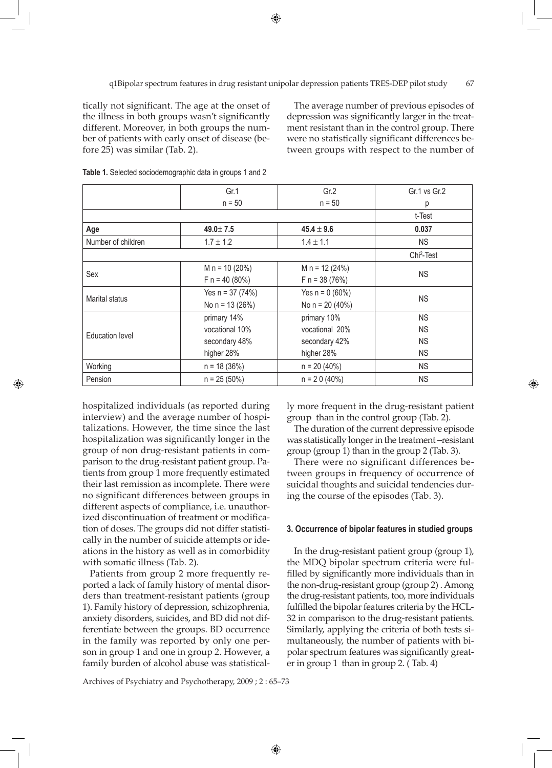q1Bipolar spectrum features in drug resistant unipolar depression patients TRES-DEP pilot study 67

tically not significant. The age at the onset of the illness in both groups wasn't significantly different. Moreover, in both groups the number of patients with early onset of disease (before 25) was similar (Tab. 2).

The average number of previous episodes of depression was significantly larger in the treatment resistant than in the control group. There were no statistically significant differences between groups with respect to the number of

|                    | Gr.1               | Gr.2              | Gr.1 vs Gr.2           |
|--------------------|--------------------|-------------------|------------------------|
|                    | $n = 50$           | $n = 50$          | р                      |
|                    |                    |                   | t-Test                 |
| Age                | $49.0 \pm 7.5$     | $45.4 \pm 9.6$    | 0.037                  |
| Number of children | $1.7 \pm 1.2$      | $1.4 \pm 1.1$     | <b>NS</b>              |
|                    |                    |                   | Chi <sup>2</sup> -Test |
| Sex                | M $n = 10 (20%)$   | M $n = 12 (24%)$  | <b>NS</b>              |
|                    | $F n = 40 (80%)$   | $F n = 38 (76%)$  |                        |
| Marital status     | Yes $n = 37 (74%)$ | Yes $n = 0 (60%)$ | <b>NS</b>              |
|                    | No $n = 13(26%)$   | No $n = 20 (40%)$ |                        |
|                    | primary 14%        | primary 10%       | <b>NS</b>              |
| Education level    | vocational 10%     | vocational 20%    | <b>NS</b>              |
|                    | secondary 48%      | secondary 42%     | <b>NS</b>              |
|                    | higher 28%         | higher 28%        | <b>NS</b>              |
| Working            | $n = 18(36%)$      | $n = 20 (40\%)$   | <b>NS</b>              |
| Pension            | $n = 25(50\%)$     | $n = 20(40\%)$    | <b>NS</b>              |

⊕

**Table 1.** Selected sociodemographic data in groups 1 and 2

hospitalized individuals (as reported during interview) and the average number of hospitalizations. However, the time since the last hospitalization was significantly longer in the group of non drug-resistant patients in comparison to the drug-resistant patient group. Patients from group 1 more frequently estimated their last remission as incomplete. There were no significant differences between groups in different aspects of compliance, i.e. unauthorized discontinuation of treatment or modification of doses. The groups did not differ statistically in the number of suicide attempts or ideations in the history as well as in comorbidity with somatic illness (Tab. 2).

⊕

Patients from group 2 more frequently reported a lack of family history of mental disorders than treatment-resistant patients (group 1). Family history of depression, schizophrenia, anxiety disorders, suicides, and BD did not differentiate between the groups. BD occurrence in the family was reported by only one person in group 1 and one in group 2. However, a family burden of alcohol abuse was statistical-

Archives of Psychiatry and Psychotherapy, 2009 ; 2 : 65–73

ly more frequent in the drug-resistant patient group than in the control group (Tab. 2).

◈

The duration of the current depressive episode was statistically longer in the treatment –resistant group (group 1) than in the group 2 (Tab. 3).

There were no significant differences between groups in frequency of occurrence of suicidal thoughts and suicidal tendencies during the course of the episodes (Tab. 3).

#### **3. Occurrence of bipolar features in studied groups**

In the drug-resistant patient group (group 1), the MDQ bipolar spectrum criteria were fulfilled by significantly more individuals than in the non-drug-resistant group (group 2) . Among the drug-resistant patients, too, more individuals fulfilled the bipolar features criteria by the HCL-32 in comparison to the drug-resistant patients. Similarly, applying the criteria of both tests simultaneously, the number of patients with bipolar spectrum features was significantly greater in group 1 than in group 2. ( Tab. 4)

 $\bigoplus$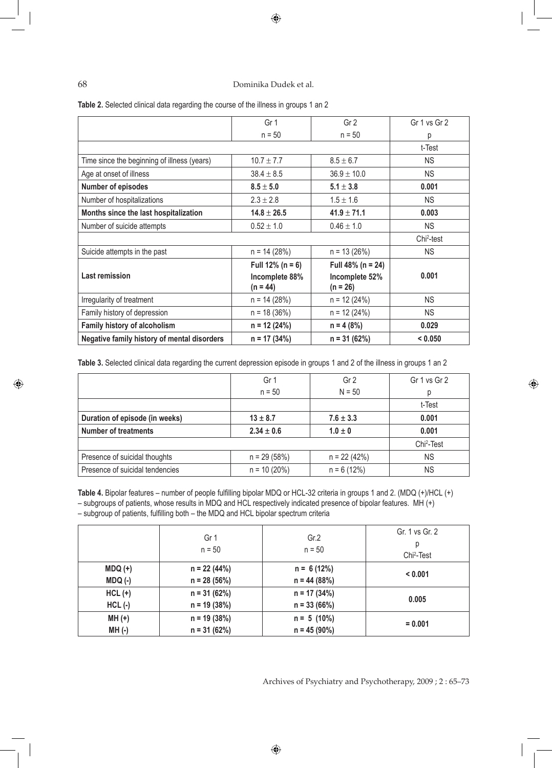# $\bigoplus$

# 68 Dominika Dudek et al.

 $\bigoplus$ 

| Negative family history of mental disorders | $n = 17(34%)$                | $n = 31 (62%)$               | < 0.050                |
|---------------------------------------------|------------------------------|------------------------------|------------------------|
| <b>Family history of alcoholism</b>         | $n = 12 (24%)$               | $n = 4 (8%)$                 | 0.029                  |
| Family history of depression                | $n = 18(36%)$                | $n = 12 (24%)$               | <b>NS</b>              |
| Irregularity of treatment                   | $n = 14 (28%)$               | $n = 12 (24%)$               | <b>NS</b>              |
| <b>Last remission</b>                       | Incomplete 88%<br>$(n = 44)$ | Incomplete 52%<br>$(n = 26)$ | 0.001                  |
|                                             | Full $12\%$ (n = 6)          | Full 48% ( $n = 24$ )        |                        |
| Suicide attempts in the past                | $n = 14 (28%)$               | $n = 13(26%)$                | <b>NS</b>              |
|                                             |                              |                              | Chi <sup>2</sup> -test |
| Number of suicide attempts                  | $0.52 \pm 1.0$               | $0.46 \pm 1.0$               | <b>NS</b>              |
| Months since the last hospitalization       | $14.8 \pm 26.5$              | $41.9 \pm 71.1$              | 0.003                  |
| Number of hospitalizations                  | $2.3 \pm 2.8$                | $1.5 \pm 1.6$                | <b>NS</b>              |
| <b>Number of episodes</b>                   | $8.5 \pm 5.0$                | $5.1 \pm 3.8$                | 0.001                  |
| Age at onset of illness                     | $38.4 \pm 8.5$               | $36.9 \pm 10.0$              | <b>NS</b>              |
| Time since the beginning of illness (years) | $10.7 \pm 7.7$               | $8.5 \pm 6.7$                | <b>NS</b>              |
|                                             |                              |                              | t-Test                 |
|                                             | $n = 50$                     | $n = 50$                     | р                      |
|                                             | Gr <sub>1</sub>              | Gr <sub>2</sub>              | Gr 1 vs Gr 2           |

**Table 3.** Selected clinical data regarding the current depression episode in groups 1 and 2 of the illness in groups 1 an 2

|                                 | Gr 1            | Gr <sub>2</sub> | Gr 1 vs Gr 2           |
|---------------------------------|-----------------|-----------------|------------------------|
|                                 | $n = 50$        | $N = 50$        | D                      |
|                                 |                 |                 | t-Test                 |
| Duration of episode (in weeks)  | $13 \pm 8.7$    | $7.6 \pm 3.3$   | 0.001                  |
| <b>Number of treatments</b>     | $2.34 \pm 0.6$  | $1.0 \pm 0$     | 0.001                  |
|                                 |                 |                 | Chi <sup>2</sup> -Test |
| Presence of suicidal thoughts   | $n = 29(58%)$   | $n = 22(42%)$   | <b>NS</b>              |
| Presence of suicidal tendencies | $n = 10 (20\%)$ | $n = 6(12%)$    | <b>NS</b>              |

**Table 4.** Bipolar features – number of people fulfilling bipolar MDQ or HCL-32 criteria in groups 1 and 2. (MDQ (+)/HCL (+) – subgroups of patients, whose results in MDQ and HCL respectively indicated presence of bipolar features. MH (+) – subgroup of patients, fulfilling both – the MDQ and HCL bipolar spectrum criteria

|           | Gr 1<br>$n = 50$ | Gr.2<br>$n = 50$ | Gr. 1 vs Gr. 2<br>р<br>Chi <sup>2</sup> -Test |
|-----------|------------------|------------------|-----------------------------------------------|
| $MDQ (+)$ | $n = 22(44%)$    | $n = 6(12%)$     | < 0.001                                       |
| $MDQ(-)$  | $n = 28(56%)$    | $n = 44 (88%)$   |                                               |
| $HCL$ (+) | $n = 31(62%)$    | $n = 17(34%)$    | 0.005                                         |
| $HCL$ (-) | $n = 19(38%)$    | $n = 33(66%)$    |                                               |
| $MH (+)$  | $n = 19(38%)$    | $n = 5(10\%)$    |                                               |
| $MH(-)$   | $n = 31 (62%)$   | $n = 45 (90\%)$  | $= 0.001$                                     |

Archives of Psychiatry and Psychotherapy, 2009 ; 2 : 65–73

⊕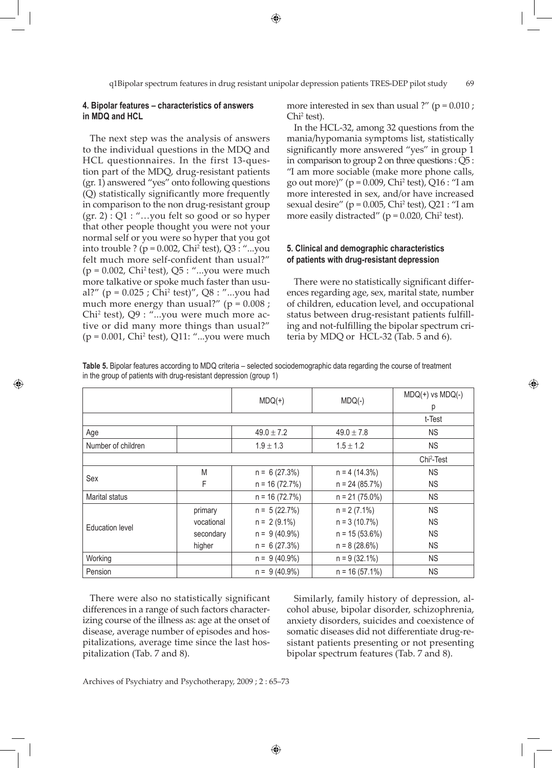$\bigoplus$ 

## **4. Bipolar features – characteristics of answers in MDQ and HCL**

The next step was the analysis of answers to the individual questions in the MDQ and HCL questionnaires. In the first 13-question part of the MDQ, drug-resistant patients (gr. 1) answered "yes" onto following questions (Q) statistically significantly more frequently in comparison to the non drug-resistant group  $(gr. 2)$ : Q1: "...you felt so good or so hyper that other people thought you were not your normal self or you were so hyper that you got into trouble ? ( $p = 0.002$ , Chi<sup>2</sup> test), Q3 : "...you felt much more self-confident than usual?"  $(p = 0.002, Chi<sup>2</sup> test), Q5:$  "...you were much more talkative or spoke much faster than usual?" (p = 0.025 ; Chi2 test)", Q8 : "...you had much more energy than usual?" ( $p = 0.008$ ; Chi<sup>2</sup> test), Q9 : "...you were much more active or did many more things than usual?" (p = 0.001, Chi2 test), Q11: "...you were much

⊕

more interested in sex than usual ?" ( $p = 0.010$  ; Chi2 test).

In the HCL-32, among 32 questions from the mania/hypomania symptoms list, statistically significantly more answered "yes" in group 1 in comparison to group 2 on three questions : Q5 : "I am more sociable (make more phone calls, go out more)" ( $p = 0.009$ , Chi<sup>2</sup> test), Q16 : "I am more interested in sex, and/or have increased sexual desire" ( $p = 0.005$ , Chi<sup>2</sup> test), Q21 : "I am more easily distracted" ( $p = 0.020$ , Chi<sup>2</sup> test).

# **5. Clinical and demographic characteristics of patients with drug-resistant depression**

There were no statistically significant differences regarding age, sex, marital state, number of children, education level, and occupational status between drug-resistant patients fulfilling and not-fulfilling the bipolar spectrum criteria by MDQ or HCL-32 (Tab. 5 and 6).

◈

**Table 5.** Bipolar features according to MDQ criteria – selected sociodemographic data regarding the course of treatment in the group of patients with drug-resistant depression (group 1)

|                        |            | $MDQ(+)$        | $MDQ(-)$          | $MDQ(+)$ vs $MDQ(-)$   |
|------------------------|------------|-----------------|-------------------|------------------------|
|                        |            |                 |                   | р                      |
|                        |            |                 |                   | t-Test                 |
| Age                    |            | $49.0 \pm 7.2$  | $49.0 \pm 7.8$    | <b>NS</b>              |
| Number of children     |            | $1.9 \pm 1.3$   | $1.5 \pm 1.2$     | <b>NS</b>              |
|                        |            |                 |                   | Chi <sup>2</sup> -Test |
| Sex                    | M          | $n = 6(27.3%)$  | $n = 4(14.3%)$    | <b>NS</b>              |
|                        | F          | $n = 16(72.7%)$ | $n = 24 (85.7%)$  | <b>NS</b>              |
| Marital status         |            | $n = 16(72.7%)$ | $n = 21 (75.0\%)$ | <b>NS</b>              |
|                        | primary    | $n = 5(22.7%)$  | $n = 2(7.1\%)$    | <b>NS</b>              |
| <b>Education level</b> | vocational | $n = 2(9.1\%)$  | $n = 3(10.7%)$    | <b>NS</b>              |
|                        | secondary  | $n = 9(40.9\%)$ | $n = 15(53.6%)$   | <b>NS</b>              |
|                        | higher     | $n = 6(27.3%)$  | $n = 8(28.6%)$    | <b>NS</b>              |
| Working                |            | $n = 9(40.9\%)$ | $n = 9(32.1\%)$   | <b>NS</b>              |
| Pension                |            | $n = 9(40.9\%)$ | $n = 16(57.1\%)$  | <b>NS</b>              |

There were also no statistically significant differences in a range of such factors characterizing course of the illness as: age at the onset of disease, average number of episodes and hospitalizations, average time since the last hospitalization (Tab. 7 and 8).

Similarly, family history of depression, alcohol abuse, bipolar disorder, schizophrenia, anxiety disorders, suicides and coexistence of somatic diseases did not differentiate drug-resistant patients presenting or not presenting bipolar spectrum features (Tab. 7 and 8).

Archives of Psychiatry and Psychotherapy, 2009 ; 2 : 65–73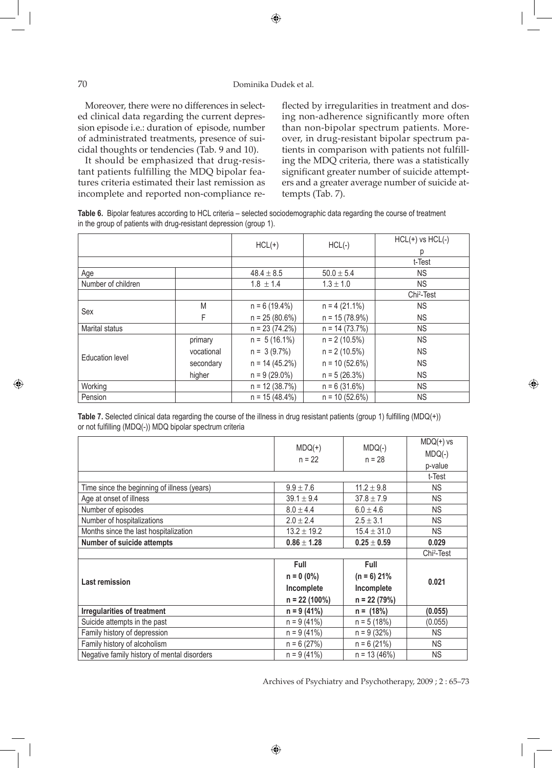# 70 Dominika Dudek et al.

Moreover, there were no differences in selected clinical data regarding the current depression episode i.e.: duration of episode, number of administrated treatments, presence of suicidal thoughts or tendencies (Tab. 9 and 10).

It should be emphasized that drug-resistant patients fulfilling the MDQ bipolar features criteria estimated their last remission as incomplete and reported non-compliance reflected by irregularities in treatment and dosing non-adherence significantly more often than non-bipolar spectrum patients. Moreover, in drug-resistant bipolar spectrum patients in comparison with patients not fulfilling the MDQ criteria, there was a statistically significant greater number of suicide attempters and a greater average number of suicide attempts (Tab. 7).

◈

**Table 6.** Bipolar features according to HCL criteria – selected sociodemographic data regarding the course of treatment in the group of patients with drug-resistant depression (group 1).

|                    |            | $HCL(+)$<br>$HCL(-)$ |                  | $HCL(+)$ vs $HCL(-)$   |
|--------------------|------------|----------------------|------------------|------------------------|
|                    |            |                      |                  | р                      |
|                    |            |                      |                  | t-Test                 |
| Age                |            | $48.4 \pm 8.5$       | $50.0 \pm 5.4$   | <b>NS</b>              |
| Number of children |            | $1.8 \pm 1.4$        | $1.3 \pm 1.0$    | <b>NS</b>              |
|                    |            |                      |                  | Chi <sup>2</sup> -Test |
| Sex                | M          | $n = 6(19.4\%)$      | $n = 4(21.1\%)$  | <b>NS</b>              |
|                    | F          | $n = 25(80.6%)$      | $n = 15(78.9%)$  | <b>NS</b>              |
| Marital status     |            | $n = 23(74.2%)$      | $n = 14(73.7%)$  | <b>NS</b>              |
|                    | primary    | $n = 5(16.1\%)$      | $n = 2(10.5%)$   | <b>NS</b>              |
|                    | vocational | $n = 3(9.7%)$        | $n = 2(10.5\%)$  | <b>NS</b>              |
| Education level    | secondary  | $n = 14(45.2%)$      | $n = 10 (52.6%)$ | <b>NS</b>              |
|                    | higher     | $n = 9(29.0\%)$      | $n = 5(26.3%)$   | <b>NS</b>              |
| Working            |            | $n = 12(38.7%)$      | $n = 6(31.6%)$   | <b>NS</b>              |
| Pension            |            | $n = 15(48.4\%)$     | $n = 10 (52.6%)$ | <b>NS</b>              |

**Table 7.** Selected clinical data regarding the course of the illness in drug resistant patients (group 1) fulfilling (MDQ(+)) or not fulfilling (MDQ(-)) MDQ bipolar spectrum criteria

|                                             | $MDQ(+)$        | $MDQ(-)$                          | $MDQ(+)$ vs            |
|---------------------------------------------|-----------------|-----------------------------------|------------------------|
|                                             | $n = 22$        | $n = 28$                          | $MDQ(-)$               |
|                                             |                 |                                   | p-value                |
|                                             |                 |                                   | t-Test                 |
| Time since the beginning of illness (years) | $9.9 \pm 7.6$   | $11.2 \pm 9.8$                    | <b>NS</b>              |
| Age at onset of illness                     | $39.1 \pm 9.4$  | $37.8 \pm 7.9$                    | <b>NS</b>              |
| Number of episodes                          | $8.0 \pm 4.4$   | $6.0 \pm 4.6$                     | <b>NS</b>              |
| Number of hospitalizations                  | $2.0 \pm 2.4$   | $2.5 \pm 3.1$                     | <b>NS</b>              |
| Months since the last hospitalization       | $13.2 \pm 19.2$ | $15.4 \pm 31.0$                   | <b>NS</b>              |
| <b>Number of suicide attempts</b>           | $0.86 \pm 1.28$ | $\textbf{0.25} \pm \textbf{0.59}$ | 0.029                  |
|                                             |                 |                                   |                        |
|                                             |                 |                                   | Chi <sup>2</sup> -Test |
|                                             | Full            | Full                              |                        |
|                                             | $n = 0 (0\%)$   | $(n = 6)$ 21%                     |                        |
| <b>Last remission</b>                       | Incomplete      | Incomplete                        | 0.021                  |
|                                             | $n = 22(100\%)$ | $n = 22(79%)$                     |                        |
| <b>Irregularities of treatment</b>          | $n = 9(41%)$    | $n = (18%)$                       | (0.055)                |
| Suicide attempts in the past                | $n = 9(41%)$    | $n = 5(18%)$                      | (0.055)                |
| Family history of depression                | $n = 9(41%)$    | $n = 9(32%)$                      | <b>NS</b>              |
| Family history of alcoholism                | $n = 6(27%)$    | $n = 6(21%)$                      | <b>NS</b>              |

Archives of Psychiatry and Psychotherapy, 2009 ; 2 : 65–73

♠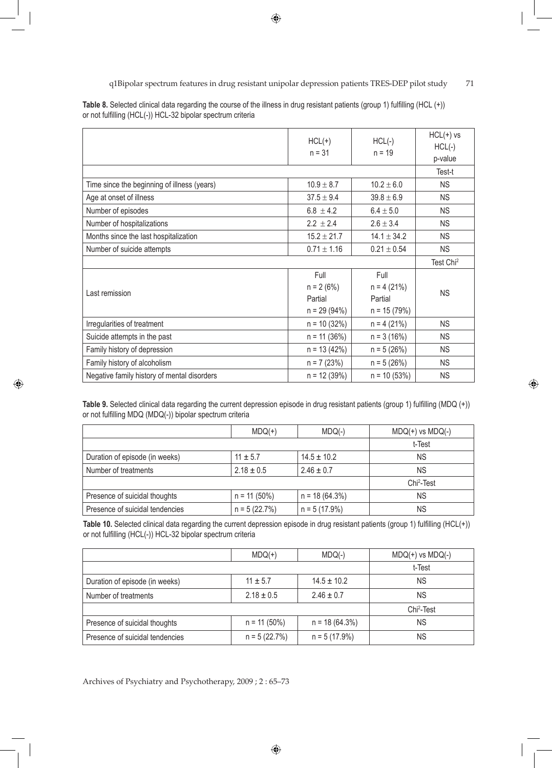q1Bipolar spectrum features in drug resistant unipolar depression patients TRES-DEP pilot study 71

|                                             | $HCL(+)$<br>$n = 31$            | $HCL(-)$<br>$n = 19$            | $HCL(+)$ vs<br>$HCL(-)$<br>p-value |
|---------------------------------------------|---------------------------------|---------------------------------|------------------------------------|
|                                             |                                 |                                 | Test-t                             |
| Time since the beginning of illness (years) | $10.9 \pm 8.7$                  | $10.2 \pm 6.0$                  | <b>NS</b>                          |
| Age at onset of illness                     | $37.5 \pm 9.4$                  | $39.8 \pm 6.9$                  | <b>NS</b>                          |
| Number of episodes                          | $6.8 \pm 4.2$                   | $6.4 \pm 5.0$                   | <b>NS</b>                          |
| Number of hospitalizations                  | $2.2 \pm 2.4$                   | $2.6 \pm 3.4$                   | <b>NS</b>                          |
| Months since the last hospitalization       | $15.2 \pm 21.7$                 | $14.1 \pm 34.2$                 | <b>NS</b>                          |
| Number of suicide attempts                  | $0.71 \pm 1.16$                 | $0.21 \pm 0.54$                 | <b>NS</b>                          |
|                                             |                                 |                                 | Test Chi <sup>2</sup>              |
| Last remission                              | Full<br>$n = 2 (6%)$<br>Partial | Full<br>$n = 4(21%)$<br>Partial | <b>NS</b>                          |
| Irregularities of treatment                 | $n = 29(94%)$<br>$n = 10(32%)$  | $n = 15(79%)$<br>$n = 4(21%)$   | <b>NS</b>                          |
| Suicide attempts in the past                | $n = 11 (36%)$                  | $n = 3(16%)$                    | <b>NS</b>                          |
| Family history of depression                | $n = 13(42%)$                   | $n = 5(26%)$                    | <b>NS</b>                          |
| Family history of alcoholism                | $n = 7(23%)$                    | $n = 5(26%)$                    | <b>NS</b>                          |
| Negative family history of mental disorders | $n = 12(39%)$                   | $n = 10(53%)$                   | <b>NS</b>                          |

**Table 8.** Selected clinical data regarding the course of the illness in drug resistant patients (group 1) fulfilling (HCL (+)) or not fulfilling (HCL(-)) HCL-32 bipolar spectrum criteria

**Table 9.** Selected clinical data regarding the current depression episode in drug resistant patients (group 1) fulfilling (MDQ (+)) or not fulfilling MDQ (MDQ(-)) bipolar spectrum criteria

⊕

|                                 | $MDQ(+)$       | $MDQ(-)$         | $MDQ(+)$ vs $MDQ(-)$   |
|---------------------------------|----------------|------------------|------------------------|
|                                 |                |                  | t-Test                 |
| Duration of episode (in weeks)  | $11 + 5.7$     | $14.5 \pm 10.2$  | ΝS                     |
| Number of treatments            | $2.18 \pm 0.5$ | $2.46 \pm 0.7$   | <b>NS</b>              |
|                                 |                |                  | Chi <sup>2</sup> -Test |
| Presence of suicidal thoughts   | $n = 11 (50%)$ | $n = 18(64.3\%)$ | <b>NS</b>              |
| Presence of suicidal tendencies | $n = 5(22.7%)$ | $n = 5(17.9%)$   | <b>NS</b>              |

**Table 10.** Selected clinical data regarding the current depression episode in drug resistant patients (group 1) fulfilling (HCL(+)) or not fulfilling (HCL(-)) HCL-32 bipolar spectrum criteria

|                                 | $MDQ(+)$        | $MDQ(-)$         | $MDQ(+)$ vs $MDQ(-)$   |
|---------------------------------|-----------------|------------------|------------------------|
|                                 |                 |                  | t-Test                 |
| Duration of episode (in weeks)  | $11 \pm 5.7$    | $14.5 \pm 10.2$  | <b>NS</b>              |
| Number of treatments            | $2.18 \pm 0.5$  | $2.46 \pm 0.7$   | ΝS                     |
|                                 |                 |                  | Chi <sup>2</sup> -Test |
| Presence of suicidal thoughts   | $n = 11 (50\%)$ | $n = 18(64.3\%)$ | <b>NS</b>              |
| Presence of suicidal tendencies | $n = 5(22.7%)$  | $n = 5(17.9%)$   | <b>NS</b>              |

⊕

Archives of Psychiatry and Psychotherapy, 2009 ; 2 : 65–73

⊕

 $\bigoplus$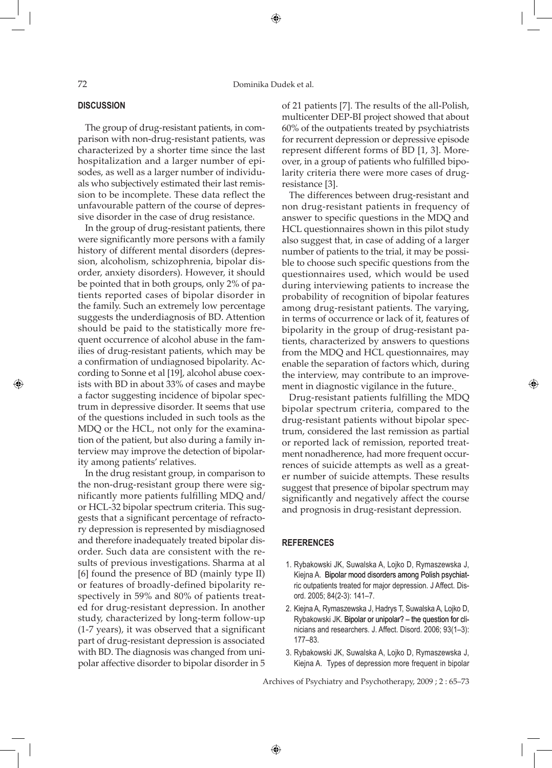### **DISCUSSION**

⊕

The group of drug-resistant patients, in comparison with non-drug-resistant patients, was characterized by a shorter time since the last hospitalization and a larger number of episodes, as well as a larger number of individuals who subjectively estimated their last remission to be incomplete. These data reflect the unfavourable pattern of the course of depressive disorder in the case of drug resistance.

In the group of drug-resistant patients, there were significantly more persons with a family history of different mental disorders (depression, alcoholism, schizophrenia, bipolar disorder, anxiety disorders). However, it should be pointed that in both groups, only 2% of patients reported cases of bipolar disorder in the family. Such an extremely low percentage suggests the underdiagnosis of BD. Attention should be paid to the statistically more frequent occurrence of alcohol abuse in the families of drug-resistant patients, which may be a confirmation of undiagnosed bipolarity. According to Sonne et al [19], alcohol abuse coexists with BD in about 33% of cases and maybe a factor suggesting incidence of bipolar spectrum in depressive disorder. It seems that use of the questions included in such tools as the MDQ or the HCL, not only for the examination of the patient, but also during a family interview may improve the detection of bipolarity among patients' relatives.

In the drug resistant group, in comparison to the non-drug-resistant group there were significantly more patients fulfilling MDQ and/ or HCL-32 bipolar spectrum criteria. This suggests that a significant percentage of refractory depression is represented by misdiagnosed and therefore inadequately treated bipolar disorder. Such data are consistent with the results of previous investigations. Sharma at al [6] found the presence of BD (mainly type II) or features of broadly-defined bipolarity respectively in 59% and 80% of patients treated for drug-resistant depression. In another study, characterized by long-term follow-up (1-7 years), it was observed that a significant part of drug-resistant depression is associated with BD. The diagnosis was changed from unipolar affective disorder to bipolar disorder in 5

of 21 patients [7]. The results of the all-Polish, multicenter DEP-BI project showed that about 60% of the outpatients treated by psychiatrists for recurrent depression or depressive episode represent different forms of BD [1, 3]. Moreover, in a group of patients who fulfilled bipolarity criteria there were more cases of drugresistance [3].

The differences between drug-resistant and non drug-resistant patients in frequency of answer to specific questions in the MDQ and HCL questionnaires shown in this pilot study also suggest that, in case of adding of a larger number of patients to the trial, it may be possible to choose such specific questions from the questionnaires used, which would be used during interviewing patients to increase the probability of recognition of bipolar features among drug-resistant patients. The varying, in terms of occurrence or lack of it, features of bipolarity in the group of drug-resistant patients, characterized by answers to questions from the MDQ and HCL questionnaires, may enable the separation of factors which, during the interview, may contribute to an improvement in diagnostic vigilance in the future.

Drug-resistant patients fulfilling the MDQ bipolar spectrum criteria, compared to the drug-resistant patients without bipolar spectrum, considered the last remission as partial or reported lack of remission, reported treatment nonadherence, had more frequent occurrences of suicide attempts as well as a greater number of suicide attempts. These results suggest that presence of bipolar spectrum may significantly and negatively affect the course and prognosis in drug-resistant depression.

⊕

## **References**

- 1. Rybakowski JK, Suwalska A, Lojko D, Rymaszewska J, Kiejna A. Bipolar mood disorders among Polish psychiatric outpatients treated for major depression. J Affect. Disord. 2005; 84(2-3): 141–7.
- 2. Kiejna A, Rymaszewska J, Hadrys T, Suwalska A, Lojko D, Rybakowski JK. Bipolar or unipolar? – the question for clinicians and researchers. J. Affect. Disord. 2006; 93(1–3): 177–83.
- 3. Rybakowski JK, Suwalska A, Lojko D, Rymaszewska J, Kiejna A. Types of depression more frequent in bipolar

Archives of Psychiatry and Psychotherapy, 2009 ; 2 : 65–73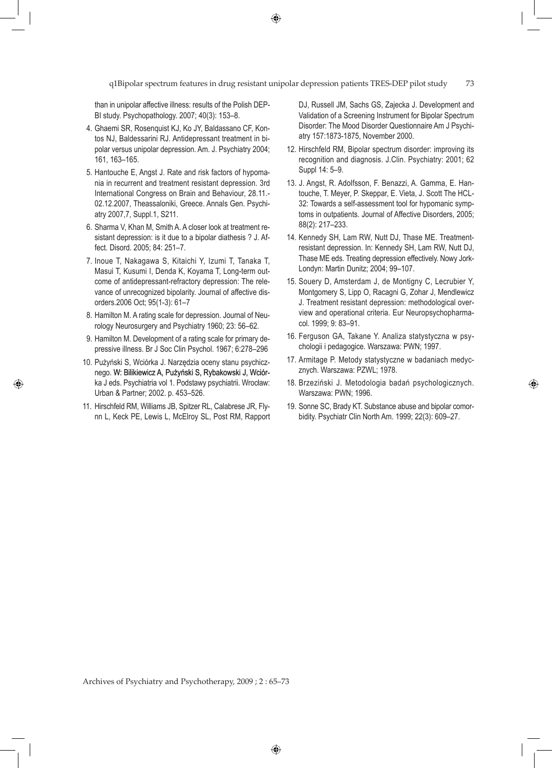q1Bipolar spectrum features in drug resistant unipolar depression patients TRES-DEP pilot study 73

 $\bigoplus$ 

than in unipolar affective illness: results of the Polish DEP-BI study. Psychopathology. 2007; 40(3): 153–8.

- 4. Ghaemi SR, Rosenquist KJ, Ko JY, Baldassano CF, Kontos NJ, Baldessarini RJ. Antidepressant treatment in bipolar versus unipolar depression. Am. J. Psychiatry 2004; 161, 163–165.
- 5. Hantouche E, Angst J. Rate and risk factors of hypomania in recurrent and treatment resistant depression. 3rd International Congress on Brain and Behaviour, 28.11.- 02.12.2007, Theassaloniki, Greece. Annals Gen. Psychiatry 2007,7, Suppl.1, S211.
- 6. Sharma V, Khan M, Smith A. A closer look at treatment resistant depression: is it due to a bipolar diathesis ? J. Affect. Disord. 2005; 84: 251–7.
- 7. Inoue T, Nakagawa S, Kitaichi Y, Izumi T, Tanaka T, Masui T, Kusumi I, Denda K, Koyama T, Long-term outcome of antidepressant-refractory depression: The relevance of unrecognized bipolarity. Journal of affective disorders.2006 Oct; 95(1-3): 61–7
- 8. Hamilton M. A rating scale for depression. Journal of Neurology Neurosurgery and Psychiatry 1960; 23: 56–62.
- 9. Hamilton M. Development of a rating scale for primary depressive illness. Br J Soc Clin Psychol. 1967; 6:278–296
- 10. Pużyński S, Wciórka J. Narzędzia oceny stanu psychicznego. W: Bilikiewicz A, Pużyński S, Rybakowski J, Wciórka J eds. Psychiatria vol 1. Podstawy psychiatrii. Wrocław: Urban & Partner; 2002. p. 453–526.

⊕

11. Hirschfeld RM, Williams JB, Spitzer RL, Calabrese JR, Flynn L, Keck PE, Lewis L, McElroy SL, Post RM, Rapport DJ, Russell JM, Sachs GS, Zajecka J. Development and Validation of a Screening Instrument for Bipolar Spectrum Disorder: The Mood Disorder Questionnaire Am J Psychiatry 157:1873-1875, November 2000.

- 12. Hirschfeld RM, Bipolar spectrum disorder: improving its recognition and diagnosis. J.Clin. Psychiatry: 2001; 62 Suppl 14: 5–9.
- 13. J. Angst, R. Adolfsson, F. Benazzi, A. Gamma, E. Hantouche, T. Meyer, P. Skeppar, E. Vieta, J. Scott The HCL-32: Towards a self-assessment tool for hypomanic symptoms in outpatients. Journal of Affective Disorders, 2005; 88(2): 217–233.
- 14. Kennedy SH, Lam RW, Nutt DJ, Thase ME. Treatmentresistant depression. In: Kennedy SH, Lam RW, Nutt DJ, Thase ME eds. Treating depression effectively. Nowy Jork-Londyn: Martin Dunitz; 2004; 99–107.
- 15. Souery D, Amsterdam J, de Montigny C, Lecrubier Y, Montgomery S, Lipp O, Racagni G, Zohar J, Mendlewicz J. Treatment resistant depression: methodological overview and operational criteria. Eur Neuropsychopharmacol. 1999; 9: 83–91.
- 16. Ferguson GA, Takane Y. Analiza statystyczna w psychologii i pedagogice. Warszawa: PWN; 1997.
- 17. Armitage P. Metody statystyczne w badaniach medycznych. Warszawa: PZWL; 1978.
- 18. Brzeziński J. Metodologia badań psychologicznych. Warszawa: PWN; 1996.

◈

19. Sonne SC, Brady KT. Substance abuse and bipolar comorbidity. Psychiatr Clin North Am. 1999; 22(3): 609–27.

Archives of Psychiatry and Psychotherapy, 2009 ; 2 : 65–73